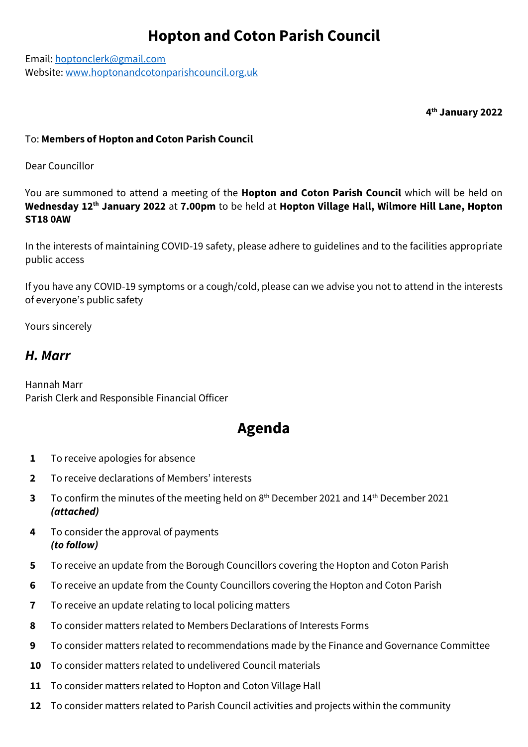## **Hopton and Coton Parish Council**

Email: [hoptonclerk@gmail.com](mailto:hoptonclerk@gmail.com) Website: [www.hoptonandcotonparishcouncil.org.uk](http://www.hoptonandcotonparishcouncil.org.uk/)

**4 th January 2022**

## To: **Members of Hopton and Coton Parish Council**

Dear Councillor

You are summoned to attend a meeting of the **Hopton and Coton Parish Council** which will be held on **Wednesday 12th January 2022** at **7.00pm** to be held at **Hopton Village Hall, Wilmore Hill Lane, Hopton ST18 0AW**

In the interests of maintaining COVID-19 safety, please adhere to guidelines and to the facilities appropriate public access

If you have any COVID-19 symptoms or a cough/cold, please can we advise you not to attend in the interests of everyone's public safety

Yours sincerely

## *H. Marr*

Hannah Marr Parish Clerk and Responsible Financial Officer

## **Agenda**

- **1** To receive apologies for absence
- **2** To receive declarations of Members' interests
- **3** To confirm the minutes of the meeting held on 8<sup>th</sup> December 2021 and 14<sup>th</sup> December 2021 *(attached)*
- **4** To consider the approval of payments *(to follow)*
- **5** To receive an update from the Borough Councillors covering the Hopton and Coton Parish
- **6** To receive an update from the County Councillors covering the Hopton and Coton Parish
- **7** To receive an update relating to local policing matters
- **8** To consider matters related to Members Declarations of Interests Forms
- **9** To consider matters related to recommendations made by the Finance and Governance Committee
- **10** To consider matters related to undelivered Council materials
- **11** To consider matters related to Hopton and Coton Village Hall
- **12** To consider matters related to Parish Council activities and projects within the community